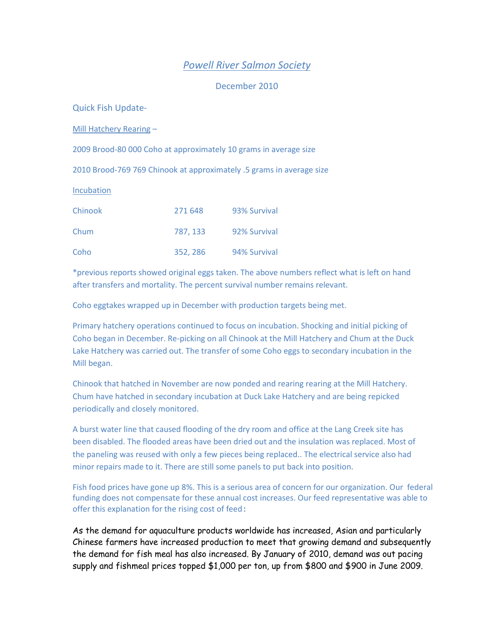## *Powell River Salmon Society*

December 2010

Quick Fish Update-

Mill Hatchery Rearing –

2009 Brood-80 000 Coho at approximately 10 grams in average size

2010 Brood-769 769 Chinook at approximately .5 grams in average size

Incubation

| Chinook | 271 648  | 93% Survival |
|---------|----------|--------------|
| Chum    | 787, 133 | 92% Survival |
| Coho    | 352, 286 | 94% Survival |

\*previous reports showed original eggs taken. The above numbers reflect what is left on hand after transfers and mortality. The percent survival number remains relevant.

Coho eggtakes wrapped up in December with production targets being met.

Primary hatchery operations continued to focus on incubation. Shocking and initial picking of Coho began in December. Re-picking on all Chinook at the Mill Hatchery and Chum at the Duck Lake Hatchery was carried out. The transfer of some Coho eggs to secondary incubation in the Mill began.

Chinook that hatched in November are now ponded and rearing rearing at the Mill Hatchery. Chum have hatched in secondary incubation at Duck Lake Hatchery and are being repicked periodically and closely monitored.

A burst water line that caused flooding of the dry room and office at the Lang Creek site has been disabled. The flooded areas have been dried out and the insulation was replaced. Most of the paneling was reused with only a few pieces being replaced.. The electrical service also had minor repairs made to it. There are still some panels to put back into position.

Fish food prices have gone up 8%. This is a serious area of concern for our organization. Our federal funding does not compensate for these annual cost increases. Our feed representative was able to offer this explanation for the rising cost of feed:

As the demand for aquaculture products worldwide has increased, Asian and particularly Chinese farmers have increased production to meet that growing demand and subsequently the demand for fish meal has also increased. By January of 2010, demand was out pacing supply and fishmeal prices topped \$1,000 per ton, up from \$800 and \$900 in June 2009.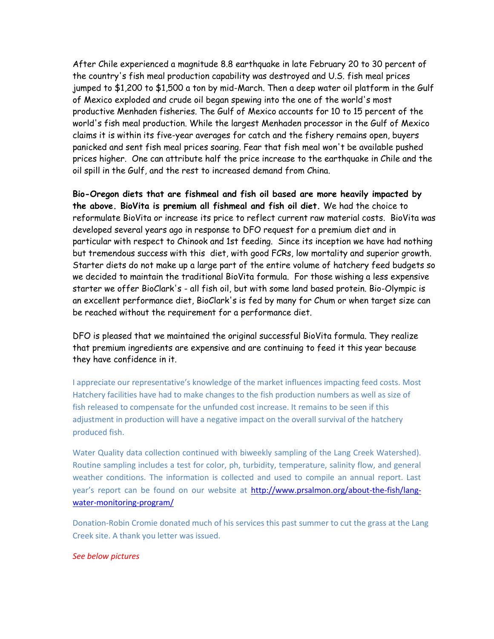After Chile experienced a magnitude 8.8 earthquake in late February 20 to 30 percent of the country's fish meal production capability was destroyed and U.S. fish meal prices jumped to \$1,200 to \$1,500 a ton by mid-March. Then a deep water oil platform in the Gulf of Mexico exploded and crude oil began spewing into the one of the world's most productive Menhaden fisheries. The Gulf of Mexico accounts for 10 to 15 percent of the world's fish meal production. While the largest Menhaden processor in the Gulf of Mexico claims it is within its five-year averages for catch and the fishery remains open, buyers panicked and sent fish meal prices soaring. Fear that fish meal won't be available pushed prices higher. One can attribute half the price increase to the earthquake in Chile and the oil spill in the Gulf, and the rest to increased demand from China.

**Bio-Oregon diets that are fishmeal and fish oil based are more heavily impacted by the above. BioVita is premium all fishmeal and fish oil diet.** We had the choice to reformulate BioVita or increase its price to reflect current raw material costs. BioVita was developed several years ago in response to DFO request for a premium diet and in particular with respect to Chinook and 1st feeding. Since its inception we have had nothing but tremendous success with this diet, with good FCRs, low mortality and superior growth. Starter diets do not make up a large part of the entire volume of hatchery feed budgets so we decided to maintain the traditional BioVita formula. For those wishing a less expensive starter we offer BioClark's - all fish oil, but with some land based protein. Bio-Olympic is an excellent performance diet, BioClark's is fed by many for Chum or when target size can be reached without the requirement for a performance diet.

DFO is pleased that we maintained the original successful BioVita formula. They realize that premium ingredients are expensive and are continuing to feed it this year because they have confidence in it.

I appreciate our representative's knowledge of the market influences impacting feed costs. Most Hatchery facilities have had to make changes to the fish production numbers as well as size of fish released to compensate for the unfunded cost increase. It remains to be seen if this adjustment in production will have a negative impact on the overall survival of the hatchery produced fish.

Water Quality data collection continued with biweekly sampling of the Lang Creek Watershed). Routine sampling includes a test for color, ph, turbidity, temperature, salinity flow, and general weather conditions. The information is collected and used to compile an annual report. Last year's report can be found on our website at [http://www.prsalmon.org/about-the-fish/lang](http://www.prsalmon.org/about-the-fish/lang-water-monitoring-program/)[water-monitoring-program/](http://www.prsalmon.org/about-the-fish/lang-water-monitoring-program/)

Donation-Robin Cromie donated much of his services this past summer to cut the grass at the Lang Creek site. A thank you letter was issued.

## *See below pictures*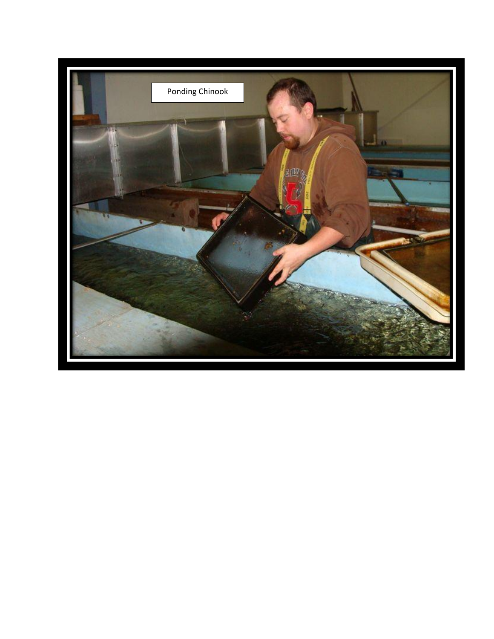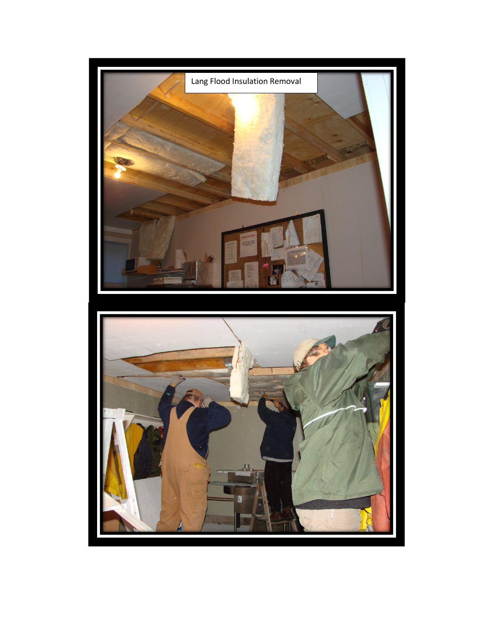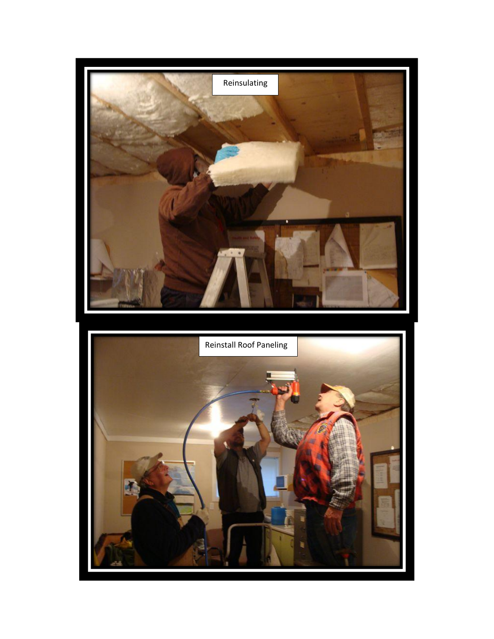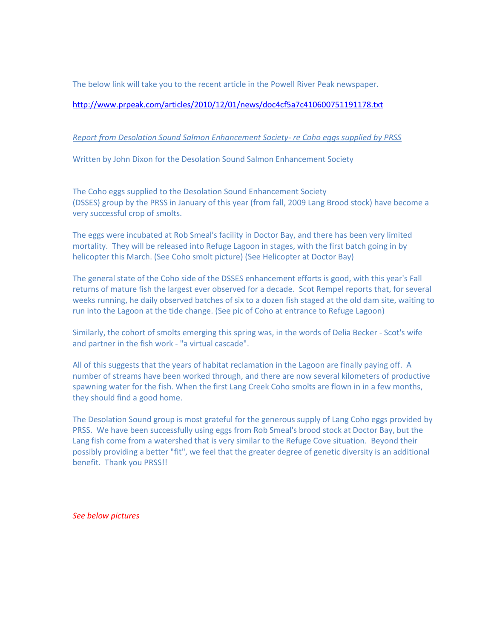The below link will take you to the recent article in the Powell River Peak newspaper.

<http://www.prpeak.com/articles/2010/12/01/news/doc4cf5a7c410600751191178.txt>

## *Report from Desolation Sound Salmon Enhancement Society- re Coho eggs supplied by PRSS*

Written by John Dixon for the Desolation Sound Salmon Enhancement Society

The Coho eggs supplied to the Desolation Sound Enhancement Society (DSSES) group by the PRSS in January of this year (from fall, 2009 Lang Brood stock) have become a very successful crop of smolts.

The eggs were incubated at Rob Smeal's facility in Doctor Bay, and there has been very limited mortality. They will be released into Refuge Lagoon in stages, with the first batch going in by helicopter this March. (See Coho smolt picture) (See Helicopter at Doctor Bay)

The general state of the Coho side of the DSSES enhancement efforts is good, with this year's Fall returns of mature fish the largest ever observed for a decade. Scot Rempel reports that, for several weeks running, he daily observed batches of six to a dozen fish staged at the old dam site, waiting to run into the Lagoon at the tide change. (See pic of Coho at entrance to Refuge Lagoon)

Similarly, the cohort of smolts emerging this spring was, in the words of Delia Becker - Scot's wife and partner in the fish work - "a virtual cascade".

All of this suggests that the years of habitat reclamation in the Lagoon are finally paying off. A number of streams have been worked through, and there are now several kilometers of productive spawning water for the fish. When the first Lang Creek Coho smolts are flown in in a few months, they should find a good home.

The Desolation Sound group is most grateful for the generous supply of Lang Coho eggs provided by PRSS. We have been successfully using eggs from Rob Smeal's brood stock at Doctor Bay, but the Lang fish come from a watershed that is very similar to the Refuge Cove situation. Beyond their possibly providing a better "fit", we feel that the greater degree of genetic diversity is an additional benefit. Thank you PRSS!!

*See below pictures*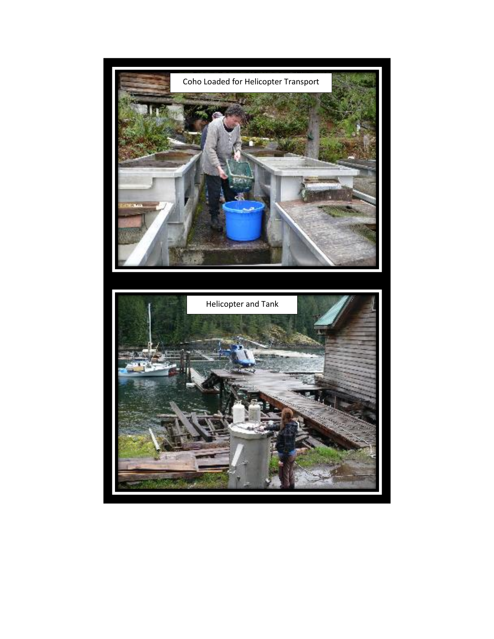